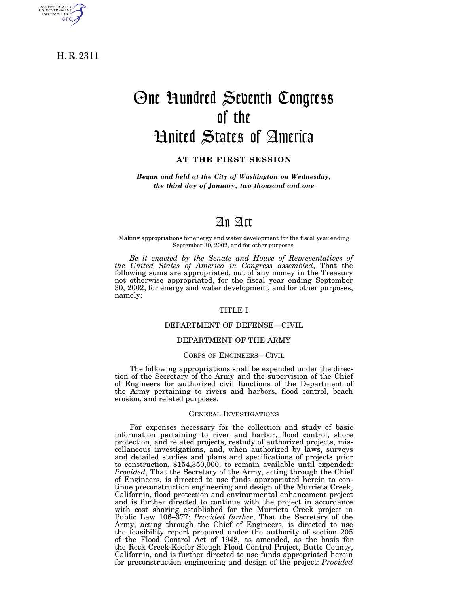H. R. 2311

AUTHENTICATED<br>U.S. GOVERNMENT<br>INFORMATION **GPO** 

# One Hundred Seventh Congress of the United States of America

**AT THE FIRST SESSION**

*Begun and held at the City of Washington on Wednesday, the third day of January, two thousand and one*

## An Act

Making appropriations for energy and water development for the fiscal year ending September 30, 2002, and for other purposes.

*Be it enacted by the Senate and House of Representatives of the United States of America in Congress assembled*, That the following sums are appropriated, out of any money in the Treasury not otherwise appropriated, for the fiscal year ending September 30, 2002, for energy and water development, and for other purposes, namely:

#### TITLE I

## DEPARTMENT OF DEFENSE—CIVIL

## DEPARTMENT OF THE ARMY

#### CORPS OF ENGINEERS—CIVIL

The following appropriations shall be expended under the direction of the Secretary of the Army and the supervision of the Chief of Engineers for authorized civil functions of the Department of the Army pertaining to rivers and harbors, flood control, beach erosion, and related purposes.

#### GENERAL INVESTIGATIONS

For expenses necessary for the collection and study of basic information pertaining to river and harbor, flood control, shore protection, and related projects, restudy of authorized projects, miscellaneous investigations, and, when authorized by laws, surveys and detailed studies and plans and specifications of projects prior to construction, \$154,350,000, to remain available until expended: *Provided*, That the Secretary of the Army, acting through the Chief of Engineers, is directed to use funds appropriated herein to continue preconstruction engineering and design of the Murrieta Creek, California, flood protection and environmental enhancement project and is further directed to continue with the project in accordance with cost sharing established for the Murrieta Creek project in Public Law 106–377: *Provided further*, That the Secretary of the Army, acting through the Chief of Engineers, is directed to use the feasibility report prepared under the authority of section 205 of the Flood Control Act of 1948, as amended, as the basis for the Rock Creek-Keefer Slough Flood Control Project, Butte County, California, and is further directed to use funds appropriated herein for preconstruction engineering and design of the project: *Provided*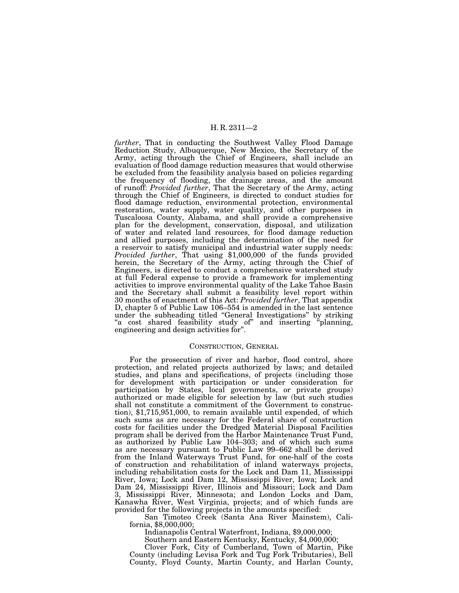*further*, That in conducting the Southwest Valley Flood Damage Reduction Study, Albuquerque, New Mexico, the Secretary of the Army, acting through the Chief of Engineers, shall include an evaluation of flood damage reduction measures that would otherwise be excluded from the feasibility analysis based on policies regarding the frequency of flooding, the drainage areas, and the amount of runoff: *Provided further*, That the Secretary of the Army, acting through the Chief of Engineers, is directed to conduct studies for flood damage reduction, environmental protection, environmental restoration, water supply, water quality, and other purposes in Tuscaloosa County, Alabama, and shall provide a comprehensive plan for the development, conservation, disposal, and utilization of water and related land resources, for flood damage reduction and allied purposes, including the determination of the need for a reservoir to satisfy municipal and industrial water supply needs: *Provided further*, That using \$1,000,000 of the funds provided herein, the Secretary of the Army, acting through the Chief of Engineers, is directed to conduct a comprehensive watershed study at full Federal expense to provide a framework for implementing activities to improve environmental quality of the Lake Tahoe Basin and the Secretary shall submit a feasibility level report within 30 months of enactment of this Act: *Provided further*, That appendix D, chapter 5 of Public Law 106–554 is amended in the last sentence under the subheading titled ''General Investigations'' by striking "a cost shared feasibility study of" and inserting "planning, engineering and design activities for''.

## CONSTRUCTION, GENERAL

For the prosecution of river and harbor, flood control, shore protection, and related projects authorized by laws; and detailed studies, and plans and specifications, of projects (including those for development with participation or under consideration for participation by States, local governments, or private groups) authorized or made eligible for selection by law (but such studies shall not constitute a commitment of the Government to construction), \$1,715,951,000, to remain available until expended, of which such sums as are necessary for the Federal share of construction costs for facilities under the Dredged Material Disposal Facilities program shall be derived from the Harbor Maintenance Trust Fund, as authorized by Public Law 104–303; and of which such sums as are necessary pursuant to Public Law 99–662 shall be derived from the Inland Waterways Trust Fund, for one-half of the costs of construction and rehabilitation of inland waterways projects, including rehabilitation costs for the Lock and Dam 11, Mississippi River, Iowa; Lock and Dam 12, Mississippi River, Iowa; Lock and Dam 24, Mississippi River, Illinois and Missouri; Lock and Dam 3, Mississippi River, Minnesota; and London Locks and Dam, Kanawha River, West Virginia, projects; and of which funds are provided for the following projects in the amounts specified:

San Timoteo Creek (Santa Ana River Mainstem), California, \$8,000,000;

Indianapolis Central Waterfront, Indiana, \$9,000,000;

Southern and Eastern Kentucky, Kentucky, \$4,000,000; Clover Fork, City of Cumberland, Town of Martin, Pike County (including Levisa Fork and Tug Fork Tributaries), Bell County, Floyd County, Martin County, and Harlan County,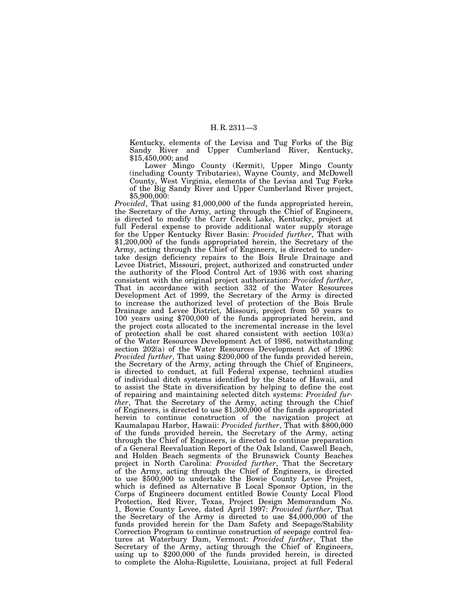Kentucky, elements of the Levisa and Tug Forks of the Big Sandy River and Upper Cumberland River, Kentucky, \$15,450,000; and

Lower Mingo County (Kermit), Upper Mingo County (including County Tributaries), Wayne County, and McDowell County, West Virginia, elements of the Levisa and Tug Forks of the Big Sandy River and Upper Cumberland River project, \$5,900,000:

*Provided*, That using \$1,000,000 of the funds appropriated herein, the Secretary of the Army, acting through the Chief of Engineers, is directed to modify the Carr Creek Lake, Kentucky, project at full Federal expense to provide additional water supply storage for the Upper Kentucky River Basin: *Provided further*, That with \$1,200,000 of the funds appropriated herein, the Secretary of the Army, acting through the Chief of Engineers, is directed to undertake design deficiency repairs to the Bois Brule Drainage and Levee District, Missouri, project, authorized and constructed under the authority of the Flood Control Act of 1936 with cost sharing consistent with the original project authorization: *Provided further*, That in accordance with section 332 of the Water Resources Development Act of 1999, the Secretary of the Army is directed to increase the authorized level of protection of the Bois Brule Drainage and Levee District, Missouri, project from 50 years to 100 years using \$700,000 of the funds appropriated herein, and the project costs allocated to the incremental increase in the level of protection shall be cost shared consistent with section 103(a) of the Water Resources Development Act of 1986, notwithstanding section 202(a) of the Water Resources Development Act of 1996: *Provided further*, That using \$200,000 of the funds provided herein, the Secretary of the Army, acting through the Chief of Engineers, is directed to conduct, at full Federal expense, technical studies of individual ditch systems identified by the State of Hawaii, and to assist the State in diversification by helping to define the cost of repairing and maintaining selected ditch systems: *Provided further*, That the Secretary of the Army, acting through the Chief of Engineers, is directed to use \$1,300,000 of the funds appropriated herein to continue construction of the navigation project at Kaumalapau Harbor, Hawaii: *Provided further*, That with \$800,000 of the funds provided herein, the Secretary of the Army, acting through the Chief of Engineers, is directed to continue preparation of a General Reevaluation Report of the Oak Island, Caswell Beach, and Holden Beach segments of the Brunswick County Beaches project in North Carolina: *Provided further*, That the Secretary of the Army, acting through the Chief of Engineers, is directed to use \$500,000 to undertake the Bowie County Levee Project, which is defined as Alternative B Local Sponsor Option, in the Corps of Engineers document entitled Bowie County Local Flood Protection, Red River, Texas, Project Design Memorandum No. 1, Bowie County Levee, dated April 1997: *Provided further*, That the Secretary of the Army is directed to use \$4,000,000 of the funds provided herein for the Dam Safety and Seepage/Stability Correction Program to continue construction of seepage control features at Waterbury Dam, Vermont: *Provided further*, That the Secretary of the Army, acting through the Chief of Engineers, using up to \$200,000 of the funds provided herein, is directed to complete the Aloha-Rigolette, Louisiana, project at full Federal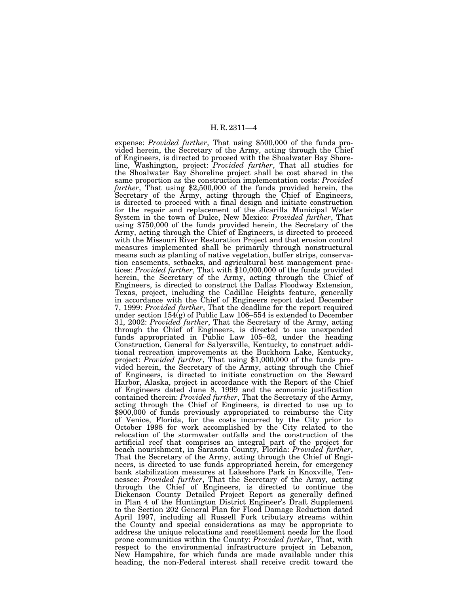expense: *Provided further*, That using \$500,000 of the funds provided herein, the Secretary of the Army, acting through the Chief of Engineers, is directed to proceed with the Shoalwater Bay Shoreline, Washington, project: *Provided further*, That all studies for the Shoalwater Bay Shoreline project shall be cost shared in the same proportion as the construction implementation costs: *Provided further*, That using \$2,500,000 of the funds provided herein, the Secretary of the Army, acting through the Chief of Engineers, is directed to proceed with a final design and initiate construction for the repair and replacement of the Jicarilla Municipal Water System in the town of Dulce, New Mexico: *Provided further*, That using \$750,000 of the funds provided herein, the Secretary of the Army, acting through the Chief of Engineers, is directed to proceed with the Missouri River Restoration Project and that erosion control measures implemented shall be primarily through nonstructural means such as planting of native vegetation, buffer strips, conservation easements, setbacks, and agricultural best management practices: *Provided further*, That with \$10,000,000 of the funds provided herein, the Secretary of the Army, acting through the Chief of Engineers, is directed to construct the Dallas Floodway Extension, Texas, project, including the Cadillac Heights feature, generally in accordance with the Chief of Engineers report dated December 7, 1999: *Provided further*, That the deadline for the report required under section 154(g) of Public Law 106–554 is extended to December 31, 2002: *Provided further*, That the Secretary of the Army, acting through the Chief of Engineers, is directed to use unexpended funds appropriated in Public Law 105–62, under the heading Construction, General for Salyersville, Kentucky, to construct additional recreation improvements at the Buckhorn Lake, Kentucky, project: *Provided further*, That using \$1,000,000 of the funds provided herein, the Secretary of the Army, acting through the Chief of Engineers, is directed to initiate construction on the Seward Harbor, Alaska, project in accordance with the Report of the Chief of Engineers dated June 8, 1999 and the economic justification contained therein: *Provided further*, That the Secretary of the Army, acting through the Chief of Engineers, is directed to use up to \$900,000 of funds previously appropriated to reimburse the City of Venice, Florida, for the costs incurred by the City prior to October 1998 for work accomplished by the City related to the relocation of the stormwater outfalls and the construction of the artificial reef that comprises an integral part of the project for beach nourishment, in Sarasota County, Florida: *Provided further*, That the Secretary of the Army, acting through the Chief of Engineers, is directed to use funds appropriated herein, for emergency bank stabilization measures at Lakeshore Park in Knoxville, Tennessee: *Provided further*, That the Secretary of the Army, acting through the Chief of Engineers, is directed to continue the Dickenson County Detailed Project Report as generally defined in Plan 4 of the Huntington District Engineer's Draft Supplement to the Section 202 General Plan for Flood Damage Reduction dated April 1997, including all Russell Fork tributary streams within the County and special considerations as may be appropriate to address the unique relocations and resettlement needs for the flood prone communities within the County: *Provided further*, That, with respect to the environmental infrastructure project in Lebanon, New Hampshire, for which funds are made available under this heading, the non-Federal interest shall receive credit toward the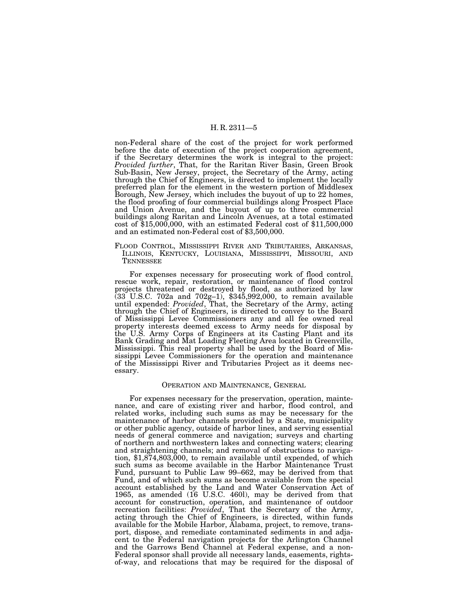non-Federal share of the cost of the project for work performed before the date of execution of the project cooperation agreement, if the Secretary determines the work is integral to the project: *Provided further*, That, for the Raritan River Basin, Green Brook Sub-Basin, New Jersey, project, the Secretary of the Army, acting through the Chief of Engineers, is directed to implement the locally preferred plan for the element in the western portion of Middlesex Borough, New Jersey, which includes the buyout of up to 22 homes, the flood proofing of four commercial buildings along Prospect Place and Union Avenue, and the buyout of up to three commercial buildings along Raritan and Lincoln Avenues, at a total estimated cost of  $$15,000,000$ , with an estimated Federal cost of  $$11,500,000$ and an estimated non-Federal cost of \$3,500,000.

FLOOD CONTROL, MISSISSIPPI RIVER AND TRIBUTARIES, ARKANSAS, ILLINOIS, KENTUCKY, LOUISIANA, MISSISSIPPI, MISSOURI, AND **TENNESSEE** 

For expenses necessary for prosecuting work of flood control, rescue work, repair, restoration, or maintenance of flood control projects threatened or destroyed by flood, as authorized by law (33 U.S.C. 702a and 702g–1), \$345,992,000, to remain available until expended: *Provided*, That, the Secretary of the Army, acting through the Chief of Engineers, is directed to convey to the Board of Mississippi Levee Commissioners any and all fee owned real property interests deemed excess to Army needs for disposal by the U.S. Army Corps of Engineers at its Casting Plant and its Bank Grading and Mat Loading Fleeting Area located in Greenville, Mississippi. This real property shall be used by the Board of Mississippi Levee Commissioners for the operation and maintenance of the Mississippi River and Tributaries Project as it deems necessary.

#### OPERATION AND MAINTENANCE, GENERAL

For expenses necessary for the preservation, operation, maintenance, and care of existing river and harbor, flood control, and related works, including such sums as may be necessary for the maintenance of harbor channels provided by a State, municipality or other public agency, outside of harbor lines, and serving essential needs of general commerce and navigation; surveys and charting of northern and northwestern lakes and connecting waters; clearing and straightening channels; and removal of obstructions to navigation, \$1,874,803,000, to remain available until expended, of which such sums as become available in the Harbor Maintenance Trust Fund, pursuant to Public Law 99–662, may be derived from that Fund, and of which such sums as become available from the special account established by the Land and Water Conservation Act of 1965, as amended (16 U.S.C. 460l), may be derived from that account for construction, operation, and maintenance of outdoor recreation facilities: *Provided*, That the Secretary of the Army, acting through the Chief of Engineers, is directed, within funds available for the Mobile Harbor, Alabama, project, to remove, transport, dispose, and remediate contaminated sediments in and adjacent to the Federal navigation projects for the Arlington Channel and the Garrows Bend Channel at Federal expense, and a non-Federal sponsor shall provide all necessary lands, easements, rightsof-way, and relocations that may be required for the disposal of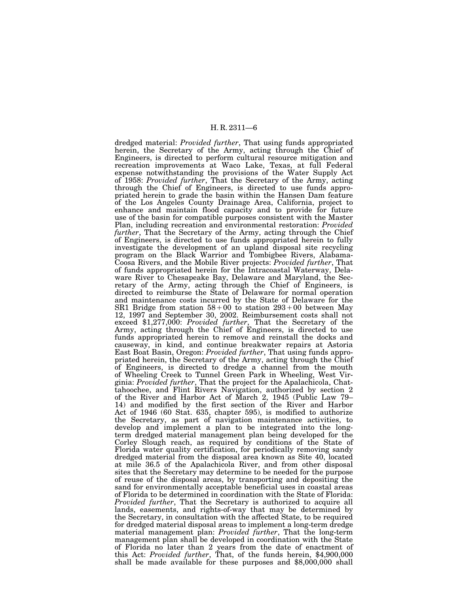dredged material: *Provided further*, That using funds appropriated herein, the Secretary of the Army, acting through the Chief of Engineers, is directed to perform cultural resource mitigation and recreation improvements at Waco Lake, Texas, at full Federal expense notwithstanding the provisions of the Water Supply Act of 1958: *Provided further*, That the Secretary of the Army, acting through the Chief of Engineers, is directed to use funds appropriated herein to grade the basin within the Hansen Dam feature of the Los Angeles County Drainage Area, California, project to enhance and maintain flood capacity and to provide for future use of the basin for compatible purposes consistent with the Master Plan, including recreation and environmental restoration: *Provided further*, That the Secretary of the Army, acting through the Chief of Engineers, is directed to use funds appropriated herein to fully investigate the development of an upland disposal site recycling program on the Black Warrior and Tombigbee Rivers, Alabama-Coosa Rivers, and the Mobile River projects: *Provided further*, That of funds appropriated herein for the Intracoastal Waterway, Delaware River to Chesapeake Bay, Delaware and Maryland, the Secretary of the Army, acting through the Chief of Engineers, is directed to reimburse the State of Delaware for normal operation and maintenance costs incurred by the State of Delaware for the SR1 Bridge from station 58+00 to station 293+00 between May 12, 1997 and September 30, 2002. Reimbursement costs shall not exceed \$1,277,000: *Provided further*, That the Secretary of the Army, acting through the Chief of Engineers, is directed to use funds appropriated herein to remove and reinstall the docks and causeway, in kind, and continue breakwater repairs at Astoria East Boat Basin, Oregon: *Provided further*, That using funds appropriated herein, the Secretary of the Army, acting through the Chief of Engineers, is directed to dredge a channel from the mouth of Wheeling Creek to Tunnel Green Park in Wheeling, West Virginia: *Provided further*, That the project for the Apalachicola, Chattahoochee, and Flint Rivers Navigation, authorized by section 2 of the River and Harbor Act of March 2, 1945 (Public Law 79– 14) and modified by the first section of the River and Harbor Act of 1946 (60 Stat. 635, chapter 595), is modified to authorize the Secretary, as part of navigation maintenance activities, to develop and implement a plan to be integrated into the longterm dredged material management plan being developed for the Corley Slough reach, as required by conditions of the State of Florida water quality certification, for periodically removing sandy dredged material from the disposal area known as Site 40, located at mile 36.5 of the Apalachicola River, and from other disposal sites that the Secretary may determine to be needed for the purpose of reuse of the disposal areas, by transporting and depositing the sand for environmentally acceptable beneficial uses in coastal areas of Florida to be determined in coordination with the State of Florida: *Provided further*, That the Secretary is authorized to acquire all lands, easements, and rights-of-way that may be determined by the Secretary, in consultation with the affected State, to be required for dredged material disposal areas to implement a long-term dredge material management plan: *Provided further*, That the long-term management plan shall be developed in coordination with the State of Florida no later than 2 years from the date of enactment of this Act: *Provided further*, That, of the funds herein, \$4,900,000 shall be made available for these purposes and \$8,000,000 shall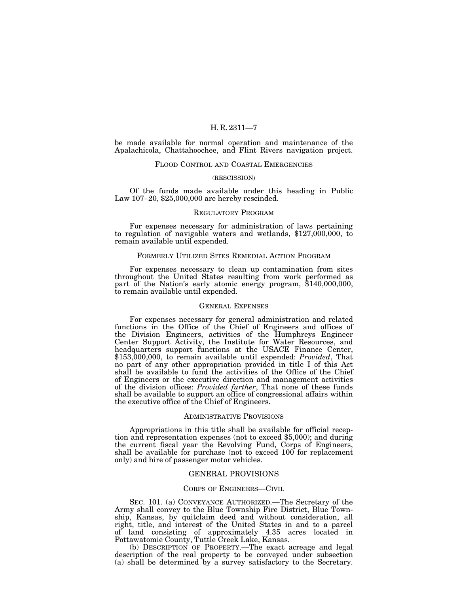be made available for normal operation and maintenance of the Apalachicola, Chattahoochee, and Flint Rivers navigation project.

#### FLOOD CONTROL AND COASTAL EMERGENCIES

#### (RESCISSION)

Of the funds made available under this heading in Public Law 107–20, \$25,000,000 are hereby rescinded.

#### REGULATORY PROGRAM

For expenses necessary for administration of laws pertaining to regulation of navigable waters and wetlands, \$127,000,000, to remain available until expended.

## FORMERLY UTILIZED SITES REMEDIAL ACTION PROGRAM

For expenses necessary to clean up contamination from sites throughout the United States resulting from work performed as part of the Nation's early atomic energy program, \$140,000,000, to remain available until expended.

#### GENERAL EXPENSES

For expenses necessary for general administration and related functions in the Office of the Chief of Engineers and offices of the Division Engineers, activities of the Humphreys Engineer Center Support Activity, the Institute for Water Resources, and headquarters support functions at the USACE Finance Center, \$153,000,000, to remain available until expended: *Provided*, That no part of any other appropriation provided in title I of this Act shall be available to fund the activities of the Office of the Chief of Engineers or the executive direction and management activities of the division offices: *Provided further*, That none of these funds shall be available to support an office of congressional affairs within the executive office of the Chief of Engineers.

#### ADMINISTRATIVE PROVISIONS

Appropriations in this title shall be available for official reception and representation expenses (not to exceed \$5,000); and during the current fiscal year the Revolving Fund, Corps of Engineers, shall be available for purchase (not to exceed 100 for replacement only) and hire of passenger motor vehicles.

#### GENERAL PROVISIONS

#### CORPS OF ENGINEERS—CIVIL

SEC. 101. (a) CONVEYANCE AUTHORIZED.—The Secretary of the Army shall convey to the Blue Township Fire District, Blue Township, Kansas, by quitclaim deed and without consideration, all right, title, and interest of the United States in and to a parcel of land consisting of approximately 4.35 acres located in Pottawatomie County, Tuttle Creek Lake, Kansas.

(b) DESCRIPTION OF PROPERTY.—The exact acreage and legal description of the real property to be conveyed under subsection (a) shall be determined by a survey satisfactory to the Secretary.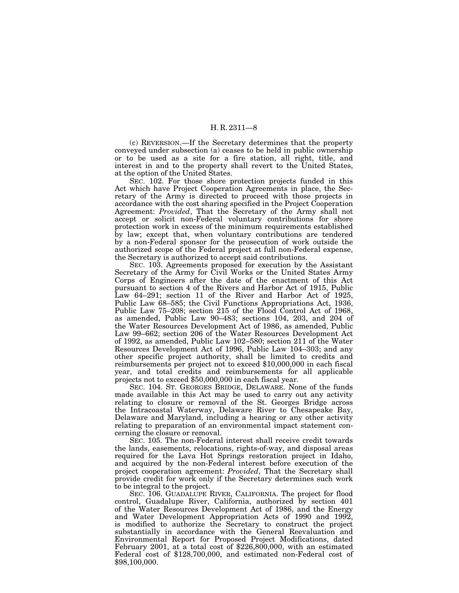(c) REVERSION.—If the Secretary determines that the property conveyed under subsection (a) ceases to be held in public ownership or to be used as a site for a fire station, all right, title, and interest in and to the property shall revert to the United States, at the option of the United States.

SEC. 102. For those shore protection projects funded in this Act which have Project Cooperation Agreements in place, the Secretary of the Army is directed to proceed with those projects in accordance with the cost sharing specified in the Project Cooperation Agreement: *Provided*, That the Secretary of the Army shall not accept or solicit non-Federal voluntary contributions for shore protection work in excess of the minimum requirements established by law; except that, when voluntary contributions are tendered by a non-Federal sponsor for the prosecution of work outside the authorized scope of the Federal project at full non-Federal expense, the Secretary is authorized to accept said contributions.

SEC. 103. Agreements proposed for execution by the Assistant Secretary of the Army for Civil Works or the United States Army Corps of Engineers after the date of the enactment of this Act pursuant to section 4 of the Rivers and Harbor Act of 1915, Public Law 64–291; section 11 of the River and Harbor Act of 1925, Public Law 68–585; the Civil Functions Appropriations Act, 1936, Public Law 75–208; section 215 of the Flood Control Act of 1968, as amended, Public Law 90–483; sections 104, 203, and 204 of the Water Resources Development Act of 1986, as amended, Public Law 99–662; section 206 of the Water Resources Development Act of 1992, as amended, Public Law 102–580; section 211 of the Water Resources Development Act of 1996, Public Law 104–303; and any other specific project authority, shall be limited to credits and reimbursements per project not to exceed \$10,000,000 in each fiscal year, and total credits and reimbursements for all applicable projects not to exceed \$50,000,000 in each fiscal year.

SEC. 104. ST. GEORGES BRIDGE, DELAWARE. None of the funds made available in this Act may be used to carry out any activity relating to closure or removal of the St. Georges Bridge across the Intracoastal Waterway, Delaware River to Chesapeake Bay, Delaware and Maryland, including a hearing or any other activity relating to preparation of an environmental impact statement concerning the closure or removal.

SEC. 105. The non-Federal interest shall receive credit towards the lands, easements, relocations, rights-of-way, and disposal areas required for the Lava Hot Springs restoration project in Idaho, and acquired by the non-Federal interest before execution of the project cooperation agreement: *Provided*, That the Secretary shall provide credit for work only if the Secretary determines such work to be integral to the project.

SEC. 106. GUADALUPE RIVER, CALIFORNIA. The project for flood control, Guadalupe River, California, authorized by section 401 of the Water Resources Development Act of 1986, and the Energy and Water Development Appropriation Acts of 1990 and 1992, is modified to authorize the Secretary to construct the project substantially in accordance with the General Reevaluation and Environmental Report for Proposed Project Modifications, dated February 2001, at a total cost of \$226,800,000, with an estimated Federal cost of \$128,700,000, and estimated non-Federal cost of \$98,100,000.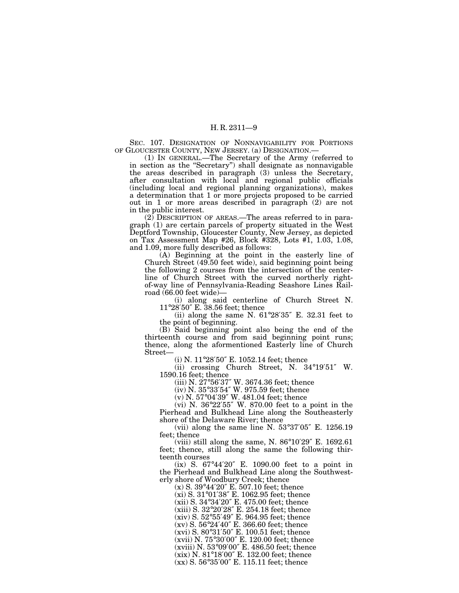SEC. 107. DESIGNATION OF NONNAVIGABILITY FOR PORTIONS OF GLOUCESTER COUNTY, NEW JERSEY. (a) DESIGNATION.—

(1) IN GENERAL.—The Secretary of the Army (referred to in section as the ''Secretary'') shall designate as nonnavigable the areas described in paragraph (3) unless the Secretary, after consultation with local and regional public officials (including local and regional planning organizations), makes a determination that 1 or more projects proposed to be carried out in 1 or more areas described in paragraph (2) are not in the public interest.

(2) DESCRIPTION OF AREAS.—The areas referred to in paragraph (1) are certain parcels of property situated in the West Deptford Township, Gloucester County, New Jersey, as depicted on Tax Assessment Map #26, Block #328, Lots #1, 1.03, 1.08, and 1.09, more fully described as follows:

(A) Beginning at the point in the easterly line of Church Street (49.50 feet wide), said beginning point being the following 2 courses from the intersection of the centerline of Church Street with the curved northerly rightof-way line of Pennsylvania-Reading Seashore Lines Railroad (66.00 feet wide)—

(i) along said centerline of Church Street N. 11°28′50″ E. 38.56 feet; thence

(ii) along the same N. 61°28′35″ E. 32.31 feet to the point of beginning.

(B) Said beginning point also being the end of the thirteenth course and from said beginning point runs; thence, along the aformentioned Easterly line of Church Street—

(i) N. 11°28′50″ E. 1052.14 feet; thence

(ii) crossing Church Street, N. 34°19′51″ W. 1590.16 feet; thence

(iii) N. 27°56′37″ W. 3674.36 feet; thence

(iv) N. 35°33′54″ W. 975.59 feet; thence

(v) N. 57°04′39″ W. 481.04 feet; thence

(vi) N. 36°22′55″ W. 870.00 feet to a point in the Pierhead and Bulkhead Line along the Southeasterly shore of the Delaware River; thence

(vii) along the same line N. 53°37′05″ E. 1256.19 feet; thence

(viii) still along the same, N. 86°10′29″ E. 1692.61 feet; thence, still along the same the following thirteenth courses

(ix) S. 67°44′20″ E. 1090.00 feet to a point in the Pierhead and Bulkhead Line along the Southwesterly shore of Woodbury Creek; thence

(x) S. 39°44′20″ E. 507.10 feet; thence (xi) S. 31°01′38″ E. 1062.95 feet; thence (xii) S. 34°34′20″ E. 475.00 feet; thence (xiii) S. 32°20′28″ E. 254.18 feet; thence (xiv) S. 52°55′49″ E. 964.95 feet; thence (xv) S. 56°24′40″ E. 366.60 feet; thence (xvi) S. 80°31′50″ E. 100.51 feet; thence (xvii) N. 75°30′00″ E. 120.00 feet; thence (xviii) N. 53°09′00″ E. 486.50 feet; thence (xix) N. 81°18′00″ E. 132.00 feet; thence (xx) S. 56°35′00″ E. 115.11 feet; thence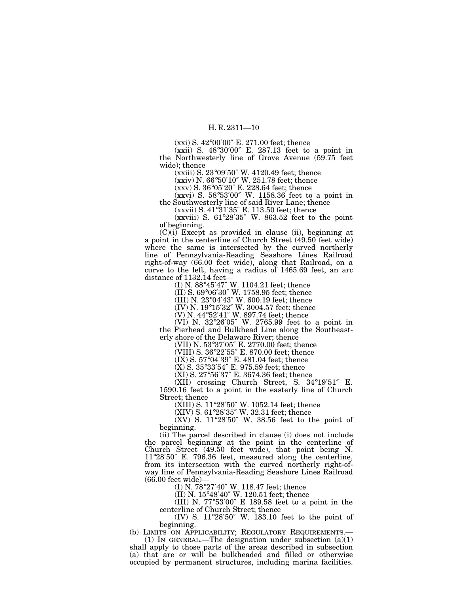(xxi) S. 42°00′00″ E. 271.00 feet; thence

(xxii) S. 48°30′00″ E. 287.13 feet to a point in the Northwesterly line of Grove Avenue (59.75 feet wide); thence

(xxiii) S. 23°09′50″ W. 4120.49 feet; thence

(xxiv) N. 66°50′10″ W. 251.78 feet; thence

(xxv) S. 36°05′20″ E. 228.64 feet; thence

(xxvi) S. 58°53′00″ W. 1158.36 feet to a point in the Southwesterly line of said River Lane; thence

(xxvii) S. 41°31′35″ E. 113.50 feet; thence

(xxviii) S. 61°28′35″ W. 863.52 feet to the point of beginning.

 $(C)(i)$  Except as provided in clause (ii), beginning at a point in the centerline of Church Street (49.50 feet wide) where the same is intersected by the curved northerly line of Pennsylvania-Reading Seashore Lines Railroad right-of-way (66.00 feet wide), along that Railroad, on a curve to the left, having a radius of 1465.69 feet, an arc distance of 1132.14 feet—

(I) N. 88°45′47″ W. 1104.21 feet; thence

(II) S. 69°06′30″ W. 1758.95 feet; thence

(III) N. 23°04′43″ W. 600.19 feet; thence

(IV) N. 19°15′32″ W. 3004.57 feet; thence

(V) N. 44°52′41″ W. 897.74 feet; thence

(VI) N. 32°26′05″ W. 2765.99 feet to a point in the Pierhead and Bulkhead Line along the Southeasterly shore of the Delaware River; thence

(VII) N. 53°37′05″ E. 2770.00 feet; thence

(VIII) S. 36°22′55″ E. 870.00 feet; thence

(IX) S. 57°04′39″ E. 481.04 feet; thence

(X) S. 35°33′54″ E. 975.59 feet; thence

(XI) S. 27°56′37″ E. 3674.36 feet; thence

(XII) crossing Church Street, S. 34°19′51″ E. 1590.16 feet to a point in the easterly line of Church Street; thence

(XIII) S. 11°28′50″ W. 1052.14 feet; thence

(XIV) S. 61°28′35″ W. 32.31 feet; thence

(XV) S. 11°28′50″ W. 38.56 feet to the point of beginning.

(ii) The parcel described in clause (i) does not include the parcel beginning at the point in the centerline of Church Street (49.50 feet wide), that point being N. 11°28′50″ E. 796.36 feet, measured along the centerline, from its intersection with the curved northerly right-ofway line of Pennsylvania-Reading Seashore Lines Railroad (66.00 feet wide)—

(I) N. 78°27′40″ W. 118.47 feet; thence

(II) N. 15°48′40″ W. 120.51 feet; thence

(III) N. 77°53′00″ E 189.58 feet to a point in the centerline of Church Street; thence

(IV) S. 11°28′50″ W. 183.10 feet to the point of beginning.

(b) LIMITS ON APPLICABILITY; REGULATORY REQUIREMENTS.—<br>(1) IN GENERAL.—The designation under subsection (a)(1)

shall apply to those parts of the areas described in subsection (a) that are or will be bulkheaded and filled or otherwise occupied by permanent structures, including marina facilities.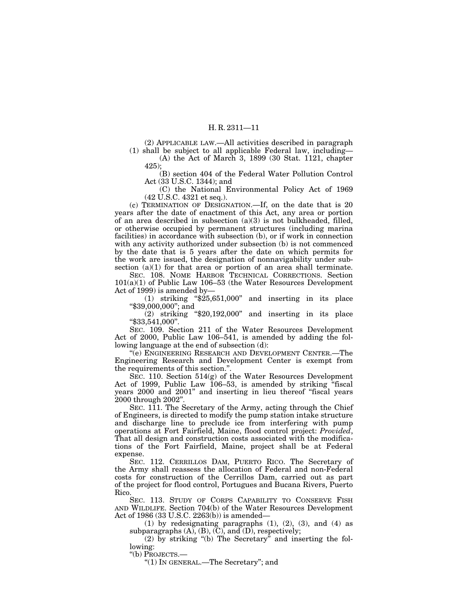(2) APPLICABLE LAW.—All activities described in paragraph (1) shall be subject to all applicable Federal law, including—

(A) the Act of March 3, 1899 (30 Stat. 1121, chapter 425);

(B) section 404 of the Federal Water Pollution Control Act (33 U.S.C. 1344); and

(C) the National Environmental Policy Act of 1969 (42 U.S.C. 4321 et seq.).

(c) TERMINATION OF DESIGNATION.—If, on the date that is 20 years after the date of enactment of this Act, any area or portion of an area described in subsection  $(a)(3)$  is not bulkheaded, filled, or otherwise occupied by permanent structures (including marina facilities) in accordance with subsection (b), or if work in connection with any activity authorized under subsection (b) is not commenced by the date that is 5 years after the date on which permits for the work are issued, the designation of nonnavigability under subsection (a)(1) for that area or portion of an area shall terminate.

SEC. 108. NOME HARBOR TECHNICAL CORRECTIONS. Section 101(a)(1) of Public Law 106–53 (the Water Resources Development Act of 1999) is amended by—

 $(1)$  striking "\$25,651,000" and inserting in its place ''\$39,000,000''; and

 $(2)$  striking "\$20,192,000" and inserting in its place ''\$33,541,000''.

SEC. 109. Section 211 of the Water Resources Development Act of 2000, Public Law 106–541, is amended by adding the following language at the end of subsection (d):

''(e) ENGINEERING RESEARCH AND DEVELOPMENT CENTER.—The Engineering Research and Development Center is exempt from the requirements of this section.''.

SEC. 110. Section 514(g) of the Water Resources Development Act of 1999, Public Law 106–53, is amended by striking ''fiscal years 2000 and 2001" and inserting in lieu thereof "fiscal years 2000 through 2002''.

SEC. 111. The Secretary of the Army, acting through the Chief of Engineers, is directed to modify the pump station intake structure and discharge line to preclude ice from interfering with pump operations at Fort Fairfield, Maine, flood control project: *Provided*, That all design and construction costs associated with the modifications of the Fort Fairfield, Maine, project shall be at Federal expense.

SEC. 112. CERRILLOS DAM, PUERTO RICO. The Secretary of the Army shall reassess the allocation of Federal and non-Federal costs for construction of the Cerrillos Dam, carried out as part of the project for flood control, Portugues and Bucana Rivers, Puerto Rico.

SEC. 113. STUDY OF CORPS CAPABILITY TO CONSERVE FISH AND WILDLIFE. Section 704(b) of the Water Resources Development Act of 1986 (33 U.S.C. 2263(b)) is amended—

(1) by redesignating paragraphs  $(1)$ ,  $(2)$ ,  $(3)$ , and  $(4)$  as subparagraphs  $(A)$ ,  $(B)$ ,  $(C)$ , and  $(D)$ , respectively;

 $(2)$  by striking "(b) The Secretary" and inserting the following:

''(b) PROJECTS.—

''(1) IN GENERAL.—The Secretary''; and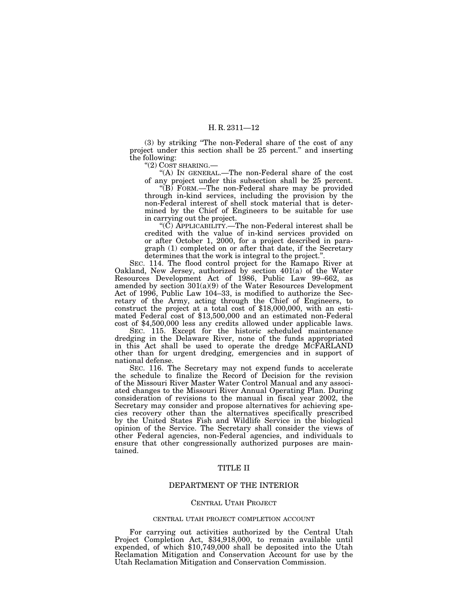(3) by striking ''The non-Federal share of the cost of any project under this section shall be 25 percent.'' and inserting the following:

''(2) COST SHARING.—

"(A) IN GENERAL.—The non-Federal share of the cost of any project under this subsection shall be 25 percent.

" $(B)$  FORM.—The non-Federal share may be provided through in-kind services, including the provision by the non-Federal interest of shell stock material that is determined by the Chief of Engineers to be suitable for use in carrying out the project.

"(C) APPLICABILITY.—The non-Federal interest shall be credited with the value of in-kind services provided on or after October 1, 2000, for a project described in paragraph (1) completed on or after that date, if the Secretary determines that the work is integral to the project."

SEC. 114. The flood control project for the Ramapo River at Oakland, New Jersey, authorized by section 401(a) of the Water Resources Development Act of 1986, Public Law 99–662, as amended by section 301(a)(9) of the Water Resources Development Act of 1996, Public Law 104–33, is modified to authorize the Secretary of the Army, acting through the Chief of Engineers, to construct the project at a total cost of \$18,000,000, with an estimated Federal cost of \$13,500,000 and an estimated non-Federal cost of \$4,500,000 less any credits allowed under applicable laws.

SEC. 115. Except for the historic scheduled maintenance dredging in the Delaware River, none of the funds appropriated in this Act shall be used to operate the dredge MCFARLAND other than for urgent dredging, emergencies and in support of national defense.

SEC. 116. The Secretary may not expend funds to accelerate the schedule to finalize the Record of Decision for the revision of the Missouri River Master Water Control Manual and any associated changes to the Missouri River Annual Operating Plan. During consideration of revisions to the manual in fiscal year 2002, the Secretary may consider and propose alternatives for achieving species recovery other than the alternatives specifically prescribed by the United States Fish and Wildlife Service in the biological opinion of the Service. The Secretary shall consider the views of other Federal agencies, non-Federal agencies, and individuals to ensure that other congressionally authorized purposes are maintained.

#### TITLE II

## DEPARTMENT OF THE INTERIOR

#### CENTRAL UTAH PROJECT

#### CENTRAL UTAH PROJECT COMPLETION ACCOUNT

For carrying out activities authorized by the Central Utah Project Completion Act, \$34,918,000, to remain available until expended, of which \$10,749,000 shall be deposited into the Utah Reclamation Mitigation and Conservation Account for use by the Utah Reclamation Mitigation and Conservation Commission.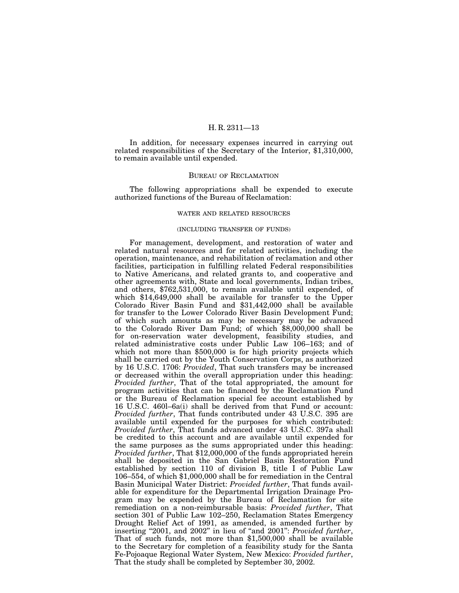In addition, for necessary expenses incurred in carrying out related responsibilities of the Secretary of the Interior, \$1,310,000, to remain available until expended.

#### BUREAU OF RECLAMATION

The following appropriations shall be expended to execute authorized functions of the Bureau of Reclamation:

#### WATER AND RELATED RESOURCES

#### (INCLUDING TRANSFER OF FUNDS)

For management, development, and restoration of water and related natural resources and for related activities, including the operation, maintenance, and rehabilitation of reclamation and other facilities, participation in fulfilling related Federal responsibilities to Native Americans, and related grants to, and cooperative and other agreements with, State and local governments, Indian tribes, and others, \$762,531,000, to remain available until expended, of which \$14,649,000 shall be available for transfer to the Upper Colorado River Basin Fund and \$31,442,000 shall be available for transfer to the Lower Colorado River Basin Development Fund; of which such amounts as may be necessary may be advanced to the Colorado River Dam Fund; of which \$8,000,000 shall be for on-reservation water development, feasibility studies, and related administrative costs under Public Law 106–163; and of which not more than \$500,000 is for high priority projects which shall be carried out by the Youth Conservation Corps, as authorized by 16 U.S.C. 1706: *Provided*, That such transfers may be increased or decreased within the overall appropriation under this heading: *Provided further*, That of the total appropriated, the amount for program activities that can be financed by the Reclamation Fund or the Bureau of Reclamation special fee account established by 16 U.S.C. 460l–6a(i) shall be derived from that Fund or account: *Provided further*, That funds contributed under 43 U.S.C. 395 are available until expended for the purposes for which contributed: *Provided further*, That funds advanced under 43 U.S.C. 397a shall be credited to this account and are available until expended for the same purposes as the sums appropriated under this heading: *Provided further*, That \$12,000,000 of the funds appropriated herein shall be deposited in the San Gabriel Basin Restoration Fund established by section 110 of division B, title I of Public Law 106–554, of which \$1,000,000 shall be for remediation in the Central Basin Municipal Water District: *Provided further*, That funds available for expenditure for the Departmental Irrigation Drainage Program may be expended by the Bureau of Reclamation for site remediation on a non-reimbursable basis: *Provided further*, That section 301 of Public Law 102–250, Reclamation States Emergency Drought Relief Act of 1991, as amended, is amended further by inserting "2001, and 2002" in lieu of "and 2001": *Provided further*, That of such funds, not more than \$1,500,000 shall be available to the Secretary for completion of a feasibility study for the Santa Fe-Pojoaque Regional Water System, New Mexico: *Provided further*, That the study shall be completed by September 30, 2002.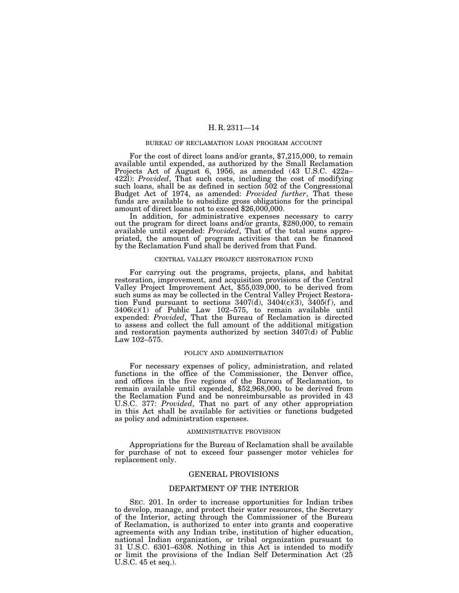## BUREAU OF RECLAMATION LOAN PROGRAM ACCOUNT

For the cost of direct loans and/or grants, \$7,215,000, to remain available until expended, as authorized by the Small Reclamation Projects Act of August 6, 1956, as amended (43 U.S.C. 422a– 422l): *Provided*, That such costs, including the cost of modifying such loans, shall be as defined in section 502 of the Congressional Budget Act of 1974, as amended: *Provided further*, That these funds are available to subsidize gross obligations for the principal amount of direct loans not to exceed \$26,000,000.

In addition, for administrative expenses necessary to carry out the program for direct loans and/or grants, \$280,000, to remain available until expended: *Provided*, That of the total sums appropriated, the amount of program activities that can be financed by the Reclamation Fund shall be derived from that Fund.

#### CENTRAL VALLEY PROJECT RESTORATION FUND

For carrying out the programs, projects, plans, and habitat restoration, improvement, and acquisition provisions of the Central Valley Project Improvement Act, \$55,039,000, to be derived from such sums as may be collected in the Central Valley Project Restoration Fund pursuant to sections  $3407(d)$ ,  $3404(c)(3)$ ,  $3405(f)$ , and  $3406(c)(1)$  of Public Law 102-575, to remain available until expended: *Provided*, That the Bureau of Reclamation is directed to assess and collect the full amount of the additional mitigation and restoration payments authorized by section 3407(d) of Public Law 102–575.

#### POLICY AND ADMINISTRATION

For necessary expenses of policy, administration, and related functions in the office of the Commissioner, the Denver office, and offices in the five regions of the Bureau of Reclamation, to remain available until expended, \$52,968,000, to be derived from the Reclamation Fund and be nonreimbursable as provided in 43 U.S.C. 377: *Provided*, That no part of any other appropriation in this Act shall be available for activities or functions budgeted as policy and administration expenses.

## ADMINISTRATIVE PROVISION

Appropriations for the Bureau of Reclamation shall be available for purchase of not to exceed four passenger motor vehicles for replacement only.

#### GENERAL PROVISIONS

#### DEPARTMENT OF THE INTERIOR

SEC. 201. In order to increase opportunities for Indian tribes to develop, manage, and protect their water resources, the Secretary of the Interior, acting through the Commissioner of the Bureau of Reclamation, is authorized to enter into grants and cooperative agreements with any Indian tribe, institution of higher education, national Indian organization, or tribal organization pursuant to 31 U.S.C. 6301–6308. Nothing in this Act is intended to modify or limit the provisions of the Indian Self Determination Act (25 U.S.C. 45 et seq.).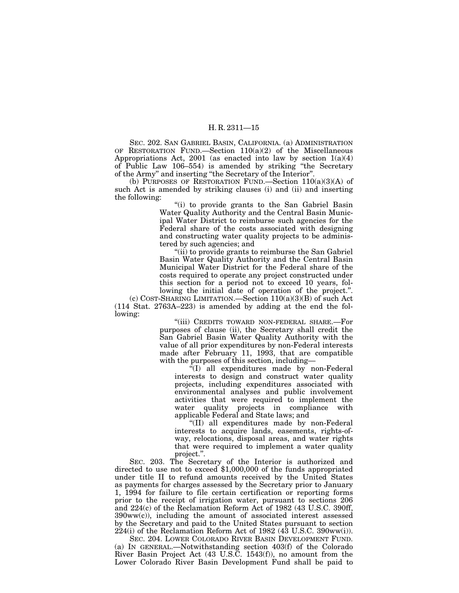SEC. 202. SAN GABRIEL BASIN, CALIFORNIA. (a) ADMINISTRATION OF RESTORATION FUND.—Section  $110(a)(2)$  of the Miscellaneous Appropriations Act, 2001 (as enacted into law by section  $1(a)(4)$ of Public Law 106–554) is amended by striking ''the Secretary of the Army'' and inserting ''the Secretary of the Interior''.

(b) PURPOSES OF RESTORATION FUND.—Section  $110(a)(3)(A)$  of such Act is amended by striking clauses (i) and (ii) and inserting the following:

''(i) to provide grants to the San Gabriel Basin Water Quality Authority and the Central Basin Municipal Water District to reimburse such agencies for the Federal share of the costs associated with designing and constructing water quality projects to be administered by such agencies; and

''(ii) to provide grants to reimburse the San Gabriel Basin Water Quality Authority and the Central Basin Municipal Water District for the Federal share of the costs required to operate any project constructed under this section for a period not to exceed 10 years, following the initial date of operation of the project.''.

 $(c)$  COST-SHARING LIMITATION.—Section  $110(a)(3)(B)$  of such Act (114 Stat. 2763A–223) is amended by adding at the end the following:

> ''(iii) CREDITS TOWARD NON-FEDERAL SHARE.—For purposes of clause (ii), the Secretary shall credit the San Gabriel Basin Water Quality Authority with the value of all prior expenditures by non-Federal interests made after February 11, 1993, that are compatible with the purposes of this section, including—

 $\sqrt{N}(I)$  all expenditures made by non-Federal interests to design and construct water quality projects, including expenditures associated with environmental analyses and public involvement activities that were required to implement the water quality projects in compliance with applicable Federal and State laws; and

''(II) all expenditures made by non-Federal interests to acquire lands, easements, rights-ofway, relocations, disposal areas, and water rights that were required to implement a water quality project.''.

SEC. 203. The Secretary of the Interior is authorized and directed to use not to exceed \$1,000,000 of the funds appropriated under title II to refund amounts received by the United States as payments for charges assessed by the Secretary prior to January 1, 1994 for failure to file certain certification or reporting forms prior to the receipt of irrigation water, pursuant to sections 206 and 224(c) of the Reclamation Reform Act of 1982 (43 U.S.C. 390ff, 390ww(c)), including the amount of associated interest assessed by the Secretary and paid to the United States pursuant to section 224(i) of the Reclamation Reform Act of 1982 (43 U.S.C. 390ww(i)).

SEC. 204. LOWER COLORADO RIVER BASIN DEVELOPMENT FUND. (a) IN GENERAL.—Notwithstanding section 403(f) of the Colorado River Basin Project Act (43 U.S.C. 1543(f)), no amount from the Lower Colorado River Basin Development Fund shall be paid to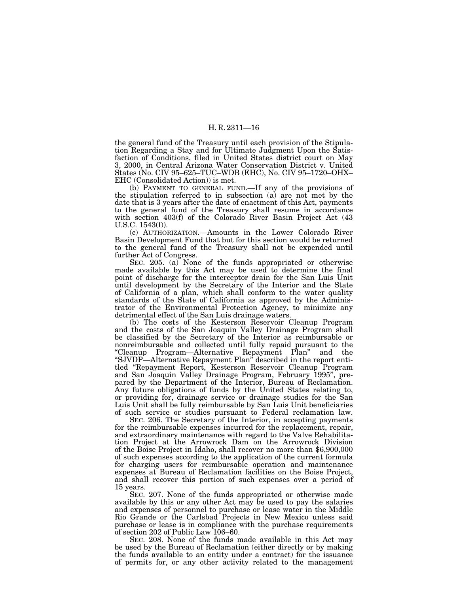the general fund of the Treasury until each provision of the Stipulation Regarding a Stay and for Ultimate Judgment Upon the Satisfaction of Conditions, filed in United States district court on May 3, 2000, in Central Arizona Water Conservation District v. United States (No. CIV 95–625–TUC–WDB (EHC), No. CIV 95–1720–OHX– EHC (Consolidated Action)) is met.

(b) PAYMENT TO GENERAL FUND.—If any of the provisions of the stipulation referred to in subsection (a) are not met by the date that is 3 years after the date of enactment of this Act, payments to the general fund of the Treasury shall resume in accordance with section 403(f) of the Colorado River Basin Project Act (43 U.S.C. 1543(f)).

(c) AUTHORIZATION.—Amounts in the Lower Colorado River Basin Development Fund that but for this section would be returned to the general fund of the Treasury shall not be expended until further Act of Congress.

SEC. 205. (a) None of the funds appropriated or otherwise made available by this Act may be used to determine the final point of discharge for the interceptor drain for the San Luis Unit until development by the Secretary of the Interior and the State of California of a plan, which shall conform to the water quality standards of the State of California as approved by the Administrator of the Environmental Protection Agency, to minimize any detrimental effect of the San Luis drainage waters.

(b) The costs of the Kesterson Reservoir Cleanup Program and the costs of the San Joaquin Valley Drainage Program shall be classified by the Secretary of the Interior as reimbursable or nonreimbursable and collected until fully repaid pursuant to the ''Cleanup Program—Alternative Repayment Plan'' and the ''SJVDP—Alternative Repayment Plan'' described in the report entitled ''Repayment Report, Kesterson Reservoir Cleanup Program and San Joaquin Valley Drainage Program, February 1995'', prepared by the Department of the Interior, Bureau of Reclamation. Any future obligations of funds by the United States relating to, or providing for, drainage service or drainage studies for the San Luis Unit shall be fully reimbursable by San Luis Unit beneficiaries of such service or studies pursuant to Federal reclamation law.

SEC. 206. The Secretary of the Interior, in accepting payments for the reimbursable expenses incurred for the replacement, repair, and extraordinary maintenance with regard to the Valve Rehabilitation Project at the Arrowrock Dam on the Arrowrock Division of the Boise Project in Idaho, shall recover no more than \$6,900,000 of such expenses according to the application of the current formula for charging users for reimbursable operation and maintenance expenses at Bureau of Reclamation facilities on the Boise Project, and shall recover this portion of such expenses over a period of 15 years.

SEC. 207. None of the funds appropriated or otherwise made available by this or any other Act may be used to pay the salaries and expenses of personnel to purchase or lease water in the Middle Rio Grande or the Carlsbad Projects in New Mexico unless said purchase or lease is in compliance with the purchase requirements of section 202 of Public Law 106–60.

SEC. 208. None of the funds made available in this Act may be used by the Bureau of Reclamation (either directly or by making the funds available to an entity under a contract) for the issuance of permits for, or any other activity related to the management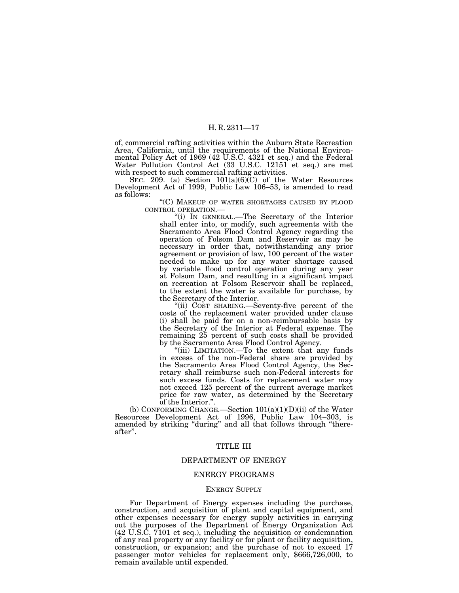of, commercial rafting activities within the Auburn State Recreation Area, California, until the requirements of the National Environmental Policy Act of 1969 (42 U.S.C. 4321 et seq.) and the Federal Water Pollution Control Act (33 U.S.C. 12151 et seq.) are met with respect to such commercial rafting activities.

SEC. 209. (a) Section  $101(a)(6)(C)$  of the Water Resources Development Act of 1999, Public Law 106–53, is amended to read

 $\lq{\rm ^{\prime}}$  (C) MAKEUP OF WATER SHORTAGES CAUSED BY FLOOD CONTROL OPERATION.—

"(i) IN GENERAL.—The Secretary of the Interior shall enter into, or modify, such agreements with the Sacramento Area Flood Control Agency regarding the operation of Folsom Dam and Reservoir as may be necessary in order that, notwithstanding any prior agreement or provision of law, 100 percent of the water needed to make up for any water shortage caused by variable flood control operation during any year at Folsom Dam, and resulting in a significant impact on recreation at Folsom Reservoir shall be replaced, to the extent the water is available for purchase, by

"(ii)  $\text{CoST}$  SHARING.—Seventy-five percent of the costs of the replacement water provided under clause (i) shall be paid for on a non-reimbursable basis by the Secretary of the Interior at Federal expense. The remaining 25 percent of such costs shall be provided by the Sacramento Area Flood Control Agency. ''(iii) LIMITATION.—To the extent that any funds

in excess of the non-Federal share are provided by the Sacramento Area Flood Control Agency, the Secretary shall reimburse such non-Federal interests for such excess funds. Costs for replacement water may not exceed 125 percent of the current average market price for raw water, as determined by the Secretary of the Interior.".

(b) CONFORMING CHANGE.—Section  $101(a)(1)(D)(ii)$  of the Water Resources Development Act of 1996, Public Law 104–303, is amended by striking "during" and all that follows through "thereafter''.

#### TITLE III

## DEPARTMENT OF ENERGY

## ENERGY PROGRAMS

#### ENERGY SUPPLY

For Department of Energy expenses including the purchase, construction, and acquisition of plant and capital equipment, and other expenses necessary for energy supply activities in carrying out the purposes of the Department of Energy Organization Act (42 U.S.C. 7101 et seq.), including the acquisition or condemnation of any real property or any facility or for plant or facility acquisition, construction, or expansion; and the purchase of not to exceed 17 passenger motor vehicles for replacement only, \$666,726,000, to remain available until expended.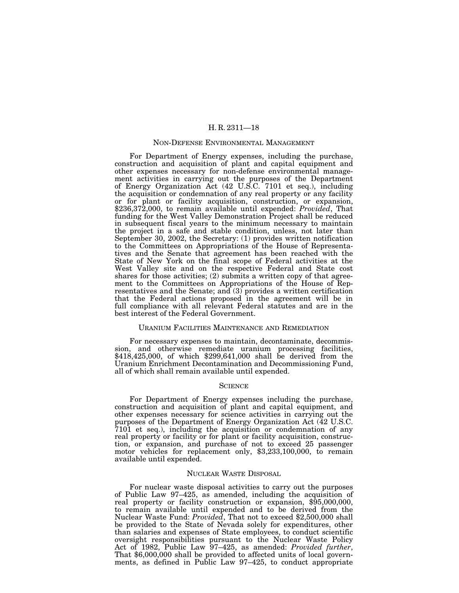#### NON-DEFENSE ENVIRONMENTAL MANAGEMENT

For Department of Energy expenses, including the purchase, construction and acquisition of plant and capital equipment and other expenses necessary for non-defense environmental management activities in carrying out the purposes of the Department of Energy Organization Act (42 U.S.C. 7101 et seq.), including the acquisition or condemnation of any real property or any facility or for plant or facility acquisition, construction, or expansion, \$236,372,000, to remain available until expended: *Provided*, That funding for the West Valley Demonstration Project shall be reduced in subsequent fiscal years to the minimum necessary to maintain the project in a safe and stable condition, unless, not later than September 30, 2002, the Secretary: (1) provides written notification to the Committees on Appropriations of the House of Representatives and the Senate that agreement has been reached with the State of New York on the final scope of Federal activities at the West Valley site and on the respective Federal and State cost shares for those activities; (2) submits a written copy of that agreement to the Committees on Appropriations of the House of Representatives and the Senate; and (3) provides a written certification that the Federal actions proposed in the agreement will be in full compliance with all relevant Federal statutes and are in the best interest of the Federal Government.

#### URANIUM FACILITIES MAINTENANCE AND REMEDIATION

For necessary expenses to maintain, decontaminate, decommission, and otherwise remediate uranium processing facilities, \$418,425,000, of which \$299,641,000 shall be derived from the Uranium Enrichment Decontamination and Decommissioning Fund, all of which shall remain available until expended.

#### **SCIENCE**

For Department of Energy expenses including the purchase, construction and acquisition of plant and capital equipment, and other expenses necessary for science activities in carrying out the purposes of the Department of Energy Organization Act (42 U.S.C. 7101 et seq.), including the acquisition or condemnation of any real property or facility or for plant or facility acquisition, construction, or expansion, and purchase of not to exceed 25 passenger motor vehicles for replacement only, \$3,233,100,000, to remain available until expended.

#### NUCLEAR WASTE DISPOSAL

For nuclear waste disposal activities to carry out the purposes of Public Law 97–425, as amended, including the acquisition of real property or facility construction or expansion, \$95,000,000, to remain available until expended and to be derived from the Nuclear Waste Fund: *Provided*, That not to exceed \$2,500,000 shall be provided to the State of Nevada solely for expenditures, other than salaries and expenses of State employees, to conduct scientific oversight responsibilities pursuant to the Nuclear Waste Policy Act of 1982, Public Law 97–425, as amended: *Provided further*, That \$6,000,000 shall be provided to affected units of local governments, as defined in Public Law 97–425, to conduct appropriate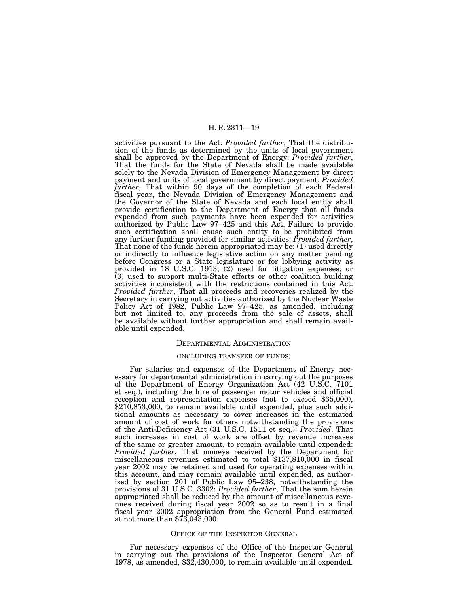activities pursuant to the Act: *Provided further*, That the distribution of the funds as determined by the units of local government shall be approved by the Department of Energy: Provided further, That the funds for the State of Nevada shall be made available solely to the Nevada Division of Emergency Management by direct payment and units of local government by direct payment: *Provided further*, That within 90 days of the completion of each Federal fiscal year, the Nevada Division of Emergency Management and the Governor of the State of Nevada and each local entity shall provide certification to the Department of Energy that all funds expended from such payments have been expended for activities authorized by Public Law 97–425 and this Act. Failure to provide such certification shall cause such entity to be prohibited from any further funding provided for similar activities: *Provided further*, That none of the funds herein appropriated may be: (1) used directly or indirectly to influence legislative action on any matter pending before Congress or a State legislature or for lobbying activity as provided in 18 U.S.C. 1913; (2) used for litigation expenses; or (3) used to support multi-State efforts or other coalition building activities inconsistent with the restrictions contained in this Act: *Provided further*, That all proceeds and recoveries realized by the Secretary in carrying out activities authorized by the Nuclear Waste Policy Act of 1982, Public Law 97–425, as amended, including but not limited to, any proceeds from the sale of assets, shall be available without further appropriation and shall remain available until expended.

#### DEPARTMENTAL ADMINISTRATION

#### (INCLUDING TRANSFER OF FUNDS)

For salaries and expenses of the Department of Energy necessary for departmental administration in carrying out the purposes of the Department of Energy Organization Act (42 U.S.C. 7101 et seq.), including the hire of passenger motor vehicles and official reception and representation expenses (not to exceed \$35,000), \$210,853,000, to remain available until expended, plus such additional amounts as necessary to cover increases in the estimated amount of cost of work for others notwithstanding the provisions of the Anti-Deficiency Act (31 U.S.C. 1511 et seq.): *Provided*, That such increases in cost of work are offset by revenue increases of the same or greater amount, to remain available until expended:<br>*Provided further*, That moneys received by the Department for miscellaneous revenues estimated to total \$137,810,000 in fiscal year 2002 may be retained and used for operating expenses within this account, and may remain available until expended, as authorized by section 201 of Public Law 95–238, notwithstanding the provisions of 31 U.S.C. 3302: *Provided further*, That the sum herein appropriated shall be reduced by the amount of miscellaneous revenues received during fiscal year 2002 so as to result in a final fiscal year 2002 appropriation from the General Fund estimated at not more than \$73,043,000.

#### OFFICE OF THE INSPECTOR GENERAL

For necessary expenses of the Office of the Inspector General in carrying out the provisions of the Inspector General Act of 1978, as amended, \$32,430,000, to remain available until expended.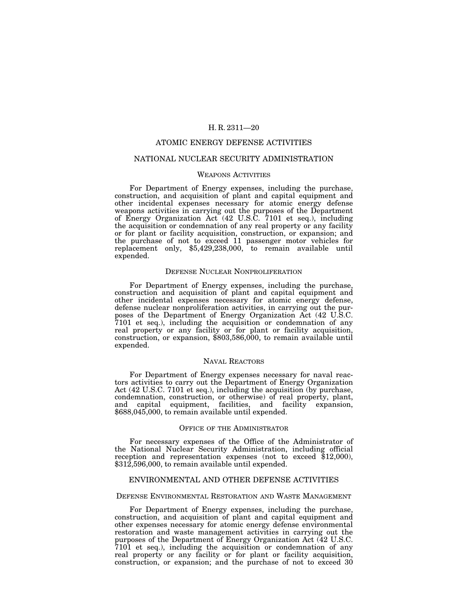## ATOMIC ENERGY DEFENSE ACTIVITIES

#### NATIONAL NUCLEAR SECURITY ADMINISTRATION

#### WEAPONS ACTIVITIES

For Department of Energy expenses, including the purchase, construction, and acquisition of plant and capital equipment and other incidental expenses necessary for atomic energy defense weapons activities in carrying out the purposes of the Department of Energy Organization Act (42 U.S.C. 7101 et seq.), including the acquisition or condemnation of any real property or any facility or for plant or facility acquisition, construction, or expansion; and the purchase of not to exceed 11 passenger motor vehicles for replacement only, \$5,429,238,000, to remain available until expended.

#### DEFENSE NUCLEAR NONPROLIFERATION

For Department of Energy expenses, including the purchase, construction and acquisition of plant and capital equipment and other incidental expenses necessary for atomic energy defense, defense nuclear nonproliferation activities, in carrying out the purposes of the Department of Energy Organization Act (42 U.S.C. 7101 et seq.), including the acquisition or condemnation of any real property or any facility or for plant or facility acquisition, construction, or expansion, \$803,586,000, to remain available until expended.

#### NAVAL REACTORS

For Department of Energy expenses necessary for naval reactors activities to carry out the Department of Energy Organization Act (42 U.S.C. 7101 et seq.), including the acquisition (by purchase, condemnation, construction, or otherwise) of real property, plant, and capital equipment, facilities, and facility expansion, \$688,045,000, to remain available until expended.

#### OFFICE OF THE ADMINISTRATOR

For necessary expenses of the Office of the Administrator of the National Nuclear Security Administration, including official reception and representation expenses (not to exceed \$12,000), \$312,596,000, to remain available until expended.

#### ENVIRONMENTAL AND OTHER DEFENSE ACTIVITIES

#### DEFENSE ENVIRONMENTAL RESTORATION AND WASTE MANAGEMENT

For Department of Energy expenses, including the purchase, construction, and acquisition of plant and capital equipment and other expenses necessary for atomic energy defense environmental restoration and waste management activities in carrying out the purposes of the Department of Energy Organization Act (42 U.S.C. 7101 et seq.), including the acquisition or condemnation of any real property or any facility or for plant or facility acquisition, construction, or expansion; and the purchase of not to exceed 30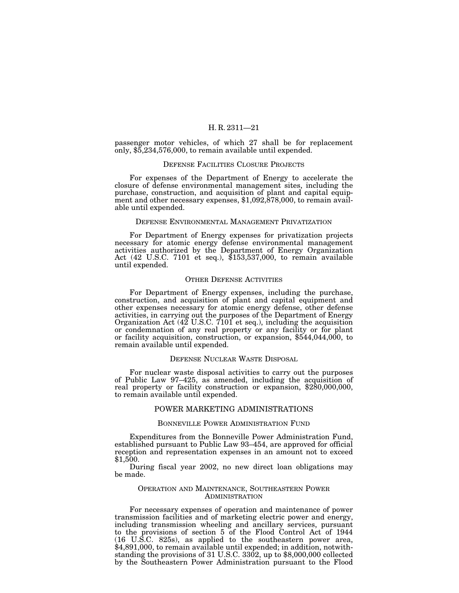passenger motor vehicles, of which 27 shall be for replacement only, \$5,234,576,000, to remain available until expended.

#### DEFENSE FACILITIES CLOSURE PROJECTS

For expenses of the Department of Energy to accelerate the closure of defense environmental management sites, including the purchase, construction, and acquisition of plant and capital equipment and other necessary expenses, \$1,092,878,000, to remain available until expended.

## DEFENSE ENVIRONMENTAL MANAGEMENT PRIVATIZATION

For Department of Energy expenses for privatization projects necessary for atomic energy defense environmental management activities authorized by the Department of Energy Organization Act (42 U.S.C. 7101 et seq.), \$153,537,000, to remain available until expended.

## OTHER DEFENSE ACTIVITIES

For Department of Energy expenses, including the purchase, construction, and acquisition of plant and capital equipment and other expenses necessary for atomic energy defense, other defense activities, in carrying out the purposes of the Department of Energy Organization Act  $(42 \text{ U.S.C. } 7101 \text{ et seq.})$ , including the acquisition or condemnation of any real property or any facility or for plant or facility acquisition, construction, or expansion, \$544,044,000, to remain available until expended.

#### DEFENSE NUCLEAR WASTE DISPOSAL

For nuclear waste disposal activities to carry out the purposes of Public Law 97–425, as amended, including the acquisition of real property or facility construction or expansion, \$280,000,000, to remain available until expended.

#### POWER MARKETING ADMINISTRATIONS

## BONNEVILLE POWER ADMINISTRATION FUND

Expenditures from the Bonneville Power Administration Fund, established pursuant to Public Law 93–454, are approved for official reception and representation expenses in an amount not to exceed \$1,500.

During fiscal year 2002, no new direct loan obligations may be made.

#### OPERATION AND MAINTENANCE, SOUTHEASTERN POWER ADMINISTRATION

For necessary expenses of operation and maintenance of power transmission facilities and of marketing electric power and energy, including transmission wheeling and ancillary services, pursuant to the provisions of section 5 of the Flood Control Act of 1944 (16 U.S.C. 825s), as applied to the southeastern power area, \$4,891,000, to remain available until expended; in addition, notwithstanding the provisions of 31 U.S.C. 3302, up to \$8,000,000 collected by the Southeastern Power Administration pursuant to the Flood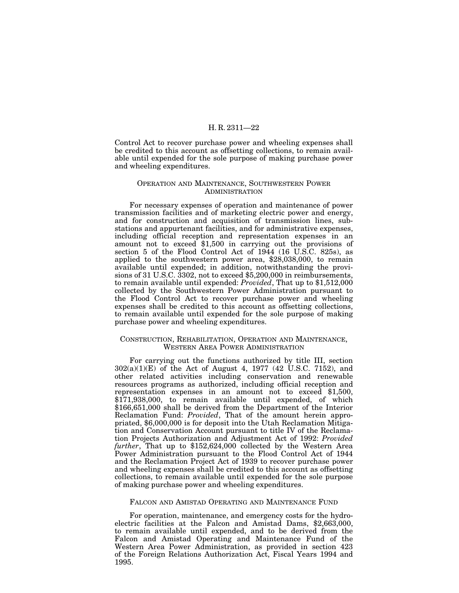Control Act to recover purchase power and wheeling expenses shall be credited to this account as offsetting collections, to remain available until expended for the sole purpose of making purchase power and wheeling expenditures.

#### OPERATION AND MAINTENANCE, SOUTHWESTERN POWER ADMINISTRATION

For necessary expenses of operation and maintenance of power transmission facilities and of marketing electric power and energy, and for construction and acquisition of transmission lines, substations and appurtenant facilities, and for administrative expenses, including official reception and representation expenses in an amount not to exceed \$1,500 in carrying out the provisions of section 5 of the Flood Control Act of 1944 (16 U.S.C. 825s), as applied to the southwestern power area, \$28,038,000, to remain available until expended; in addition, notwithstanding the provisions of 31 U.S.C. 3302, not to exceed \$5,200,000 in reimbursements, to remain available until expended: *Provided*, That up to \$1,512,000 collected by the Southwestern Power Administration pursuant to the Flood Control Act to recover purchase power and wheeling expenses shall be credited to this account as offsetting collections, to remain available until expended for the sole purpose of making purchase power and wheeling expenditures.

## CONSTRUCTION, REHABILITATION, OPERATION AND MAINTENANCE, WESTERN AREA POWER ADMINISTRATION

For carrying out the functions authorized by title III, section  $302(a)(1)(E)$  of the Act of August 4, 1977 (42 U.S.C. 7152), and other related activities including conservation and renewable resources programs as authorized, including official reception and representation expenses in an amount not to exceed \$1,500, \$171,938,000, to remain available until expended, of which \$166,651,000 shall be derived from the Department of the Interior Reclamation Fund: *Provided*, That of the amount herein appropriated, \$6,000,000 is for deposit into the Utah Reclamation Mitigation and Conservation Account pursuant to title IV of the Reclamation Projects Authorization and Adjustment Act of 1992: *Provided* further, That up to \$152,624,000 collected by the Western Area Power Administration pursuant to the Flood Control Act of 1944 and the Reclamation Project Act of 1939 to recover purchase power and wheeling expenses shall be credited to this account as offsetting collections, to remain available until expended for the sole purpose of making purchase power and wheeling expenditures.

## FALCON AND AMISTAD OPERATING AND MAINTENANCE FUND

For operation, maintenance, and emergency costs for the hydroelectric facilities at the Falcon and Amistad Dams, \$2,663,000, to remain available until expended, and to be derived from the Falcon and Amistad Operating and Maintenance Fund of the Western Area Power Administration, as provided in section 423 of the Foreign Relations Authorization Act, Fiscal Years 1994 and 1995.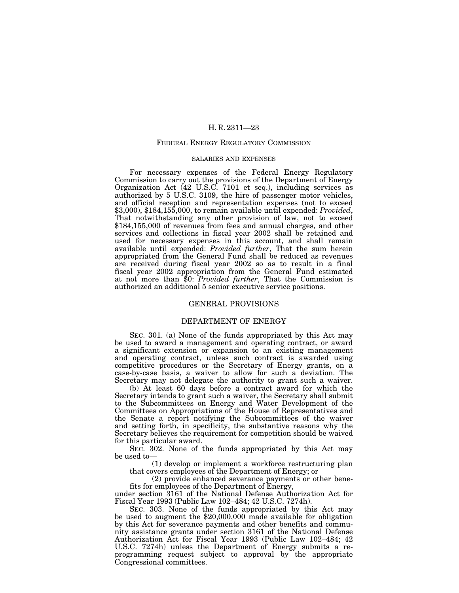#### FEDERAL ENERGY REGULATORY COMMISSION

#### SALARIES AND EXPENSES

For necessary expenses of the Federal Energy Regulatory Commission to carry out the provisions of the Department of Energy Organization Act (42 U.S.C. 7101 et seq.), including services as authorized by 5 U.S.C. 3109, the hire of passenger motor vehicles, and official reception and representation expenses (not to exceed \$3,000), \$184,155,000, to remain available until expended: *Provided*, That notwithstanding any other provision of law, not to exceed \$184,155,000 of revenues from fees and annual charges, and other services and collections in fiscal year 2002 shall be retained and used for necessary expenses in this account, and shall remain available until expended: *Provided further*, That the sum herein appropriated from the General Fund shall be reduced as revenues are received during fiscal year 2002 so as to result in a final fiscal year 2002 appropriation from the General Fund estimated at not more than \$0: *Provided further*, That the Commission is authorized an additional 5 senior executive service positions.

## GENERAL PROVISIONS

#### DEPARTMENT OF ENERGY

SEC. 301. (a) None of the funds appropriated by this Act may be used to award a management and operating contract, or award a significant extension or expansion to an existing management and operating contract, unless such contract is awarded using competitive procedures or the Secretary of Energy grants, on a case-by-case basis, a waiver to allow for such a deviation. The Secretary may not delegate the authority to grant such a waiver.

(b) At least 60 days before a contract award for which the Secretary intends to grant such a waiver, the Secretary shall submit to the Subcommittees on Energy and Water Development of the Committees on Appropriations of the House of Representatives and the Senate a report notifying the Subcommittees of the waiver and setting forth, in specificity, the substantive reasons why the Secretary believes the requirement for competition should be waived for this particular award.

SEC. 302. None of the funds appropriated by this Act may be used to—

(1) develop or implement a workforce restructuring plan that covers employees of the Department of Energy; or

(2) provide enhanced severance payments or other benefits for employees of the Department of Energy,

under section 3161 of the National Defense Authorization Act for Fiscal Year 1993 (Public Law 102–484; 42 U.S.C. 7274h).

SEC. 303. None of the funds appropriated by this Act may be used to augment the \$20,000,000 made available for obligation by this Act for severance payments and other benefits and community assistance grants under section 3161 of the National Defense Authorization Act for Fiscal Year 1993 (Public Law 102–484; 42 U.S.C. 7274h) unless the Department of Energy submits a reprogramming request subject to approval by the appropriate Congressional committees.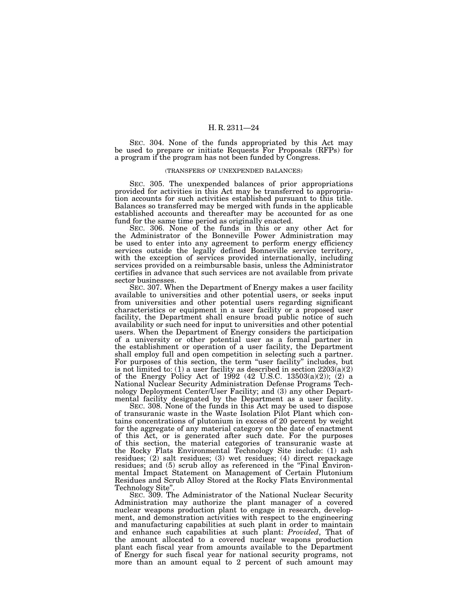SEC. 304. None of the funds appropriated by this Act may be used to prepare or initiate Requests For Proposals (RFPs) for a program if the program has not been funded by Congress.

#### (TRANSFERS OF UNEXPENDED BALANCES)

SEC. 305. The unexpended balances of prior appropriations provided for activities in this Act may be transferred to appropriation accounts for such activities established pursuant to this title. Balances so transferred may be merged with funds in the applicable established accounts and thereafter may be accounted for as one fund for the same time period as originally enacted.

SEC. 306. None of the funds in this or any other Act for the Administrator of the Bonneville Power Administration may be used to enter into any agreement to perform energy efficiency services outside the legally defined Bonneville service territory, with the exception of services provided internationally, including services provided on a reimbursable basis, unless the Administrator certifies in advance that such services are not available from private sector businesses.

SEC. 307. When the Department of Energy makes a user facility available to universities and other potential users, or seeks input from universities and other potential users regarding significant characteristics or equipment in a user facility or a proposed user facility, the Department shall ensure broad public notice of such availability or such need for input to universities and other potential users. When the Department of Energy considers the participation of a university or other potential user as a formal partner in the establishment or operation of a user facility, the Department shall employ full and open competition in selecting such a partner. For purposes of this section, the term "user facility" includes, but is not limited to: (1) a user facility as described in section  $2203(a)(2)$ of the Energy Policy Act of  $1992$  (42 U.S.C.  $13503(a)(2)$ ); (2) a National Nuclear Security Administration Defense Programs Technology Deployment Center/User Facility; and (3) any other Departmental facility designated by the Department as a user facility.

SEC. 308. None of the funds in this Act may be used to dispose of transuranic waste in the Waste Isolation Pilot Plant which contains concentrations of plutonium in excess of 20 percent by weight for the aggregate of any material category on the date of enactment of this Act, or is generated after such date. For the purposes of this section, the material categories of transuranic waste at the Rocky Flats Environmental Technology Site include: (1) ash residues; (2) salt residues; (3) wet residues; (4) direct repackage residues; and (5) scrub alloy as referenced in the "Final Environmental Impact Statement on Management of Certain Plutonium Residues and Scrub Alloy Stored at the Rocky Flats Environmental

Technology Site''. SEC. 309. The Administrator of the National Nuclear Security Administration may authorize the plant manager of a covered nuclear weapons production plant to engage in research, development, and demonstration activities with respect to the engineering and manufacturing capabilities at such plant in order to maintain and enhance such capabilities at such plant: *Provided*, That of the amount allocated to a covered nuclear weapons production plant each fiscal year from amounts available to the Department of Energy for such fiscal year for national security programs, not more than an amount equal to 2 percent of such amount may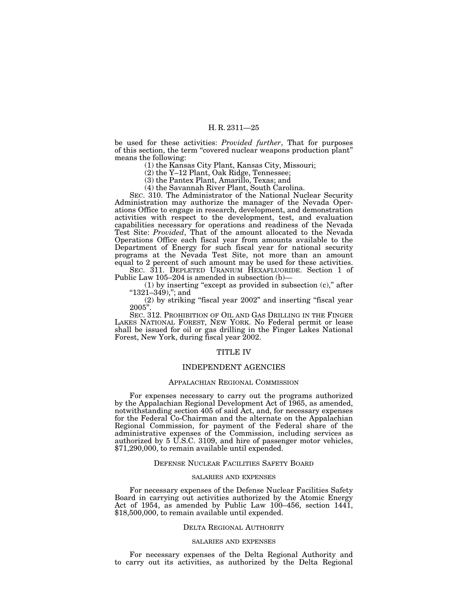be used for these activities: *Provided further*, That for purposes of this section, the term ''covered nuclear weapons production plant'' means the following:

(1) the Kansas City Plant, Kansas City, Missouri;

(2) the Y–12 Plant, Oak Ridge, Tennessee;

(3) the Pantex Plant, Amarillo, Texas; and

(4) the Savannah River Plant, South Carolina.

SEC. 310. The Administrator of the National Nuclear Security Administration may authorize the manager of the Nevada Operations Office to engage in research, development, and demonstration activities with respect to the development, test, and evaluation capabilities necessary for operations and readiness of the Nevada Test Site: *Provided*, That of the amount allocated to the Nevada Operations Office each fiscal year from amounts available to the Department of Energy for such fiscal year for national security programs at the Nevada Test Site, not more than an amount equal to 2 percent of such amount may be used for these activities.

SEC. 311. DEPLETED URANIUM HEXAFLUORIDE. Section 1 of Public Law 105–204 is amended in subsection (b)—

 $(1)$  by inserting "except as provided in subsection  $(c)$ ," after ''1321–349),''; and

(2) by striking "fiscal year 2002" and inserting "fiscal year  $2005$ ".

SEC. 312. PROHIBITION OF OIL AND GAS DRILLING IN THE FINGER LAKES NATIONAL FOREST, NEW YORK. No Federal permit or lease shall be issued for oil or gas drilling in the Finger Lakes National Forest, New York, during fiscal year 2002.

## TITLE IV

## INDEPENDENT AGENCIES

## APPALACHIAN REGIONAL COMMISSION

For expenses necessary to carry out the programs authorized by the Appalachian Regional Development Act of 1965, as amended, notwithstanding section 405 of said Act, and, for necessary expenses for the Federal Co-Chairman and the alternate on the Appalachian Regional Commission, for payment of the Federal share of the administrative expenses of the Commission, including services as authorized by 5 U.S.C. 3109, and hire of passenger motor vehicles, \$71,290,000, to remain available until expended.

#### DEFENSE NUCLEAR FACILITIES SAFETY BOARD

#### SALARIES AND EXPENSES

For necessary expenses of the Defense Nuclear Facilities Safety Board in carrying out activities authorized by the Atomic Energy Act of 1954, as amended by Public Law 100–456, section 1441, \$18,500,000, to remain available until expended.

#### DELTA REGIONAL AUTHORITY

#### SALARIES AND EXPENSES

For necessary expenses of the Delta Regional Authority and to carry out its activities, as authorized by the Delta Regional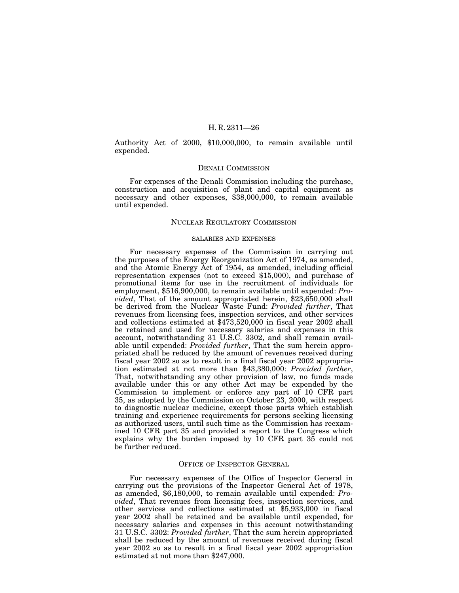Authority Act of 2000, \$10,000,000, to remain available until expended.

#### DENALI COMMISSION

For expenses of the Denali Commission including the purchase, construction and acquisition of plant and capital equipment as necessary and other expenses, \$38,000,000, to remain available until expended.

#### NUCLEAR REGULATORY COMMISSION

#### SALARIES AND EXPENSES

For necessary expenses of the Commission in carrying out the purposes of the Energy Reorganization Act of 1974, as amended, and the Atomic Energy Act of 1954, as amended, including official representation expenses (not to exceed \$15,000), and purchase of promotional items for use in the recruitment of individuals for employment, \$516,900,000, to remain available until expended: *Provided*, That of the amount appropriated herein, \$23,650,000 shall be derived from the Nuclear Waste Fund: *Provided further*, That revenues from licensing fees, inspection services, and other services and collections estimated at \$473,520,000 in fiscal year 2002 shall be retained and used for necessary salaries and expenses in this account, notwithstanding 31 U.S.C. 3302, and shall remain available until expended: *Provided further*, That the sum herein appropriated shall be reduced by the amount of revenues received during fiscal year 2002 so as to result in a final fiscal year 2002 appropriation estimated at not more than \$43,380,000: *Provided further*, That, notwithstanding any other provision of law, no funds made available under this or any other Act may be expended by the Commission to implement or enforce any part of 10 CFR part 35, as adopted by the Commission on October 23, 2000, with respect to diagnostic nuclear medicine, except those parts which establish training and experience requirements for persons seeking licensing as authorized users, until such time as the Commission has reexamined 10 CFR part 35 and provided a report to the Congress which explains why the burden imposed by 10 CFR part 35 could not be further reduced.

#### OFFICE OF INSPECTOR GENERAL

For necessary expenses of the Office of Inspector General in carrying out the provisions of the Inspector General Act of 1978, as amended, \$6,180,000, to remain available until expended: *Provided*, That revenues from licensing fees, inspection services, and other services and collections estimated at \$5,933,000 in fiscal year 2002 shall be retained and be available until expended, for necessary salaries and expenses in this account notwithstanding 31 U.S.C. 3302: *Provided further*, That the sum herein appropriated shall be reduced by the amount of revenues received during fiscal year 2002 so as to result in a final fiscal year 2002 appropriation estimated at not more than \$247,000.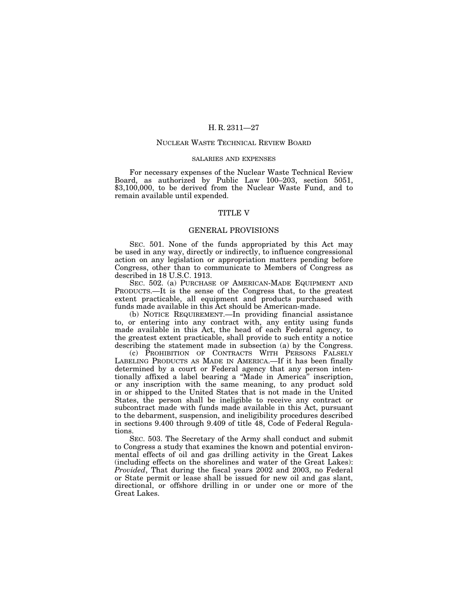#### NUCLEAR WASTE TECHNICAL REVIEW BOARD

#### SALARIES AND EXPENSES

For necessary expenses of the Nuclear Waste Technical Review Board, as authorized by Public Law 100–203, section 5051, \$3,100,000, to be derived from the Nuclear Waste Fund, and to remain available until expended.

#### TITLE V

## GENERAL PROVISIONS

SEC. 501. None of the funds appropriated by this Act may be used in any way, directly or indirectly, to influence congressional action on any legislation or appropriation matters pending before Congress, other than to communicate to Members of Congress as described in 18 U.S.C. 1913.

SEC. 502. (a) PURCHASE OF AMERICAN-MADE EQUIPMENT AND PRODUCTS.—It is the sense of the Congress that, to the greatest extent practicable, all equipment and products purchased with funds made available in this Act should be American-made.

(b) NOTICE REQUIREMENT.—In providing financial assistance to, or entering into any contract with, any entity using funds made available in this Act, the head of each Federal agency, to the greatest extent practicable, shall provide to such entity a notice describing the statement made in subsection (a) by the Congress.

(c) PROHIBITION OF CONTRACTS WITH PERSONS FALSELY LABELING PRODUCTS AS MADE IN AMERICA.—If it has been finally determined by a court or Federal agency that any person intentionally affixed a label bearing a ''Made in America'' inscription, or any inscription with the same meaning, to any product sold in or shipped to the United States that is not made in the United States, the person shall be ineligible to receive any contract or subcontract made with funds made available in this Act, pursuant to the debarment, suspension, and ineligibility procedures described in sections 9.400 through 9.409 of title 48, Code of Federal Regulations.

SEC. 503. The Secretary of the Army shall conduct and submit to Congress a study that examines the known and potential environmental effects of oil and gas drilling activity in the Great Lakes (including effects on the shorelines and water of the Great Lakes): *Provided*, That during the fiscal years 2002 and 2003, no Federal or State permit or lease shall be issued for new oil and gas slant, directional, or offshore drilling in or under one or more of the Great Lakes.